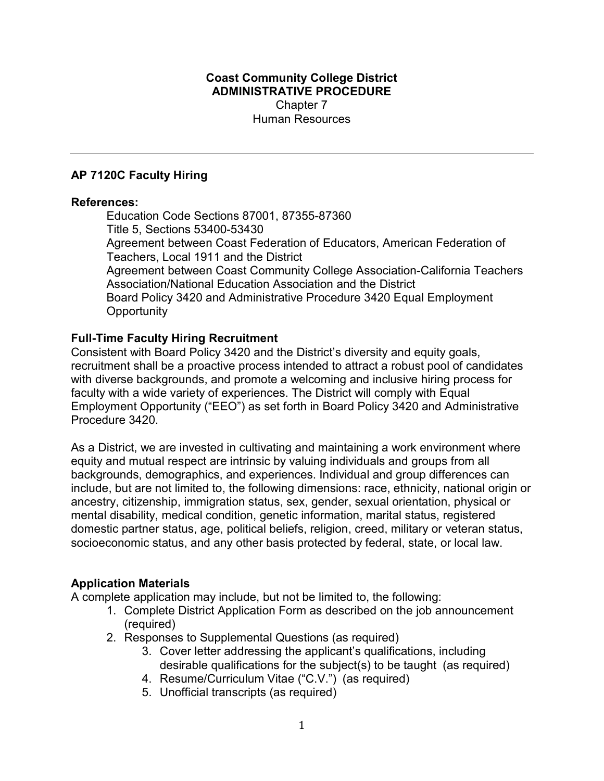#### Coast Community College District ADMINISTRATIVE PROCEDURE Chapter 7 Human Resources

### AP 7120C Faculty Hiring

#### References:

Education Code Sections 87001, 87355-87360 Title 5, Sections 53400-53430 Agreement between Coast Federation of Educators, American Federation of Teachers, Local 1911 and the District Agreement between Coast Community College Association-California Teachers Association/National Education Association and the District Board Policy 3420 and Administrative Procedure 3420 Equal Employment **Opportunity** 

### Full-Time Faculty Hiring Recruitment

Consistent with Board Policy 3420 and the District's diversity and equity goals, recruitment shall be a proactive process intended to attract a robust pool of candidates with diverse backgrounds, and promote a welcoming and inclusive hiring process for faculty with a wide variety of experiences. The District will comply with Equal Employment Opportunity ("EEO") as set forth in Board Policy 3420 and Administrative Procedure 3420.

As a District, we are invested in cultivating and maintaining a work environment where equity and mutual respect are intrinsic by valuing individuals and groups from all backgrounds, demographics, and experiences. Individual and group differences can include, but are not limited to, the following dimensions: race, ethnicity, national origin or ancestry, citizenship, immigration status, sex, gender, sexual orientation, physical or mental disability, medical condition, genetic information, marital status, registered domestic partner status, age, political beliefs, religion, creed, military or veteran status, socioeconomic status, and any other basis protected by federal, state, or local law.

#### Application Materials

A complete application may include, but not be limited to, the following:

- 1. Complete District Application Form as described on the job announcement (required)
- 2. Responses to Supplemental Questions (as required)
	- 3. Cover letter addressing the applicant's qualifications, including desirable qualifications for the subject(s) to be taught (as required)
	- 4. Resume/Curriculum Vitae ("C.V.") (as required)
	- 5. Unofficial transcripts (as required)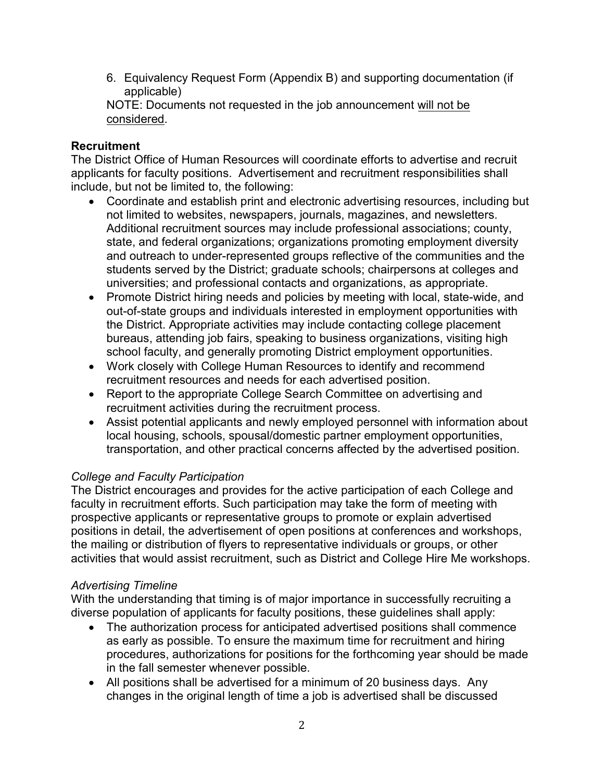6. Equivalency Request Form (Appendix B) and supporting documentation (if applicable)

NOTE: Documents not requested in the job announcement will not be considered.

## **Recruitment**

The District Office of Human Resources will coordinate efforts to advertise and recruit applicants for faculty positions. Advertisement and recruitment responsibilities shall include, but not be limited to, the following:

- Coordinate and establish print and electronic advertising resources, including but not limited to websites, newspapers, journals, magazines, and newsletters. Additional recruitment sources may include professional associations; county, state, and federal organizations; organizations promoting employment diversity and outreach to under-represented groups reflective of the communities and the students served by the District; graduate schools; chairpersons at colleges and universities; and professional contacts and organizations, as appropriate.
- Promote District hiring needs and policies by meeting with local, state-wide, and out-of-state groups and individuals interested in employment opportunities with the District. Appropriate activities may include contacting college placement bureaus, attending job fairs, speaking to business organizations, visiting high school faculty, and generally promoting District employment opportunities.
- Work closely with College Human Resources to identify and recommend recruitment resources and needs for each advertised position.
- Report to the appropriate College Search Committee on advertising and recruitment activities during the recruitment process.
- Assist potential applicants and newly employed personnel with information about local housing, schools, spousal/domestic partner employment opportunities, transportation, and other practical concerns affected by the advertised position.

### College and Faculty Participation

The District encourages and provides for the active participation of each College and faculty in recruitment efforts. Such participation may take the form of meeting with prospective applicants or representative groups to promote or explain advertised positions in detail, the advertisement of open positions at conferences and workshops, the mailing or distribution of flyers to representative individuals or groups, or other activities that would assist recruitment, such as District and College Hire Me workshops.

# Advertising Timeline

With the understanding that timing is of major importance in successfully recruiting a diverse population of applicants for faculty positions, these guidelines shall apply:

- The authorization process for anticipated advertised positions shall commence as early as possible. To ensure the maximum time for recruitment and hiring procedures, authorizations for positions for the forthcoming year should be made in the fall semester whenever possible.
- All positions shall be advertised for a minimum of 20 business days. Any changes in the original length of time a job is advertised shall be discussed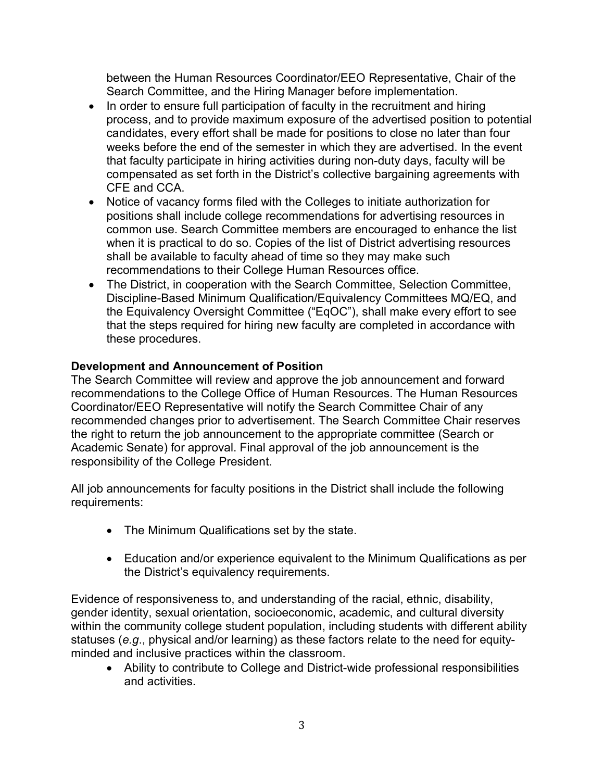between the Human Resources Coordinator/EEO Representative, Chair of the Search Committee, and the Hiring Manager before implementation.

- In order to ensure full participation of faculty in the recruitment and hiring process, and to provide maximum exposure of the advertised position to potential candidates, every effort shall be made for positions to close no later than four weeks before the end of the semester in which they are advertised. In the event that faculty participate in hiring activities during non-duty days, faculty will be compensated as set forth in the District's collective bargaining agreements with CFE and CCA.
- Notice of vacancy forms filed with the Colleges to initiate authorization for positions shall include college recommendations for advertising resources in common use. Search Committee members are encouraged to enhance the list when it is practical to do so. Copies of the list of District advertising resources shall be available to faculty ahead of time so they may make such recommendations to their College Human Resources office.
- The District, in cooperation with the Search Committee, Selection Committee, Discipline-Based Minimum Qualification/Equivalency Committees MQ/EQ, and the Equivalency Oversight Committee ("EqOC"), shall make every effort to see that the steps required for hiring new faculty are completed in accordance with these procedures.

### Development and Announcement of Position

The Search Committee will review and approve the job announcement and forward recommendations to the College Office of Human Resources. The Human Resources Coordinator/EEO Representative will notify the Search Committee Chair of any recommended changes prior to advertisement. The Search Committee Chair reserves the right to return the job announcement to the appropriate committee (Search or Academic Senate) for approval. Final approval of the job announcement is the responsibility of the College President.

All job announcements for faculty positions in the District shall include the following requirements:

- The Minimum Qualifications set by the state.
- Education and/or experience equivalent to the Minimum Qualifications as per the District's equivalency requirements.

Evidence of responsiveness to, and understanding of the racial, ethnic, disability, gender identity, sexual orientation, socioeconomic, academic, and cultural diversity within the community college student population, including students with different ability statuses (e.g., physical and/or learning) as these factors relate to the need for equityminded and inclusive practices within the classroom.

 Ability to contribute to College and District-wide professional responsibilities and activities.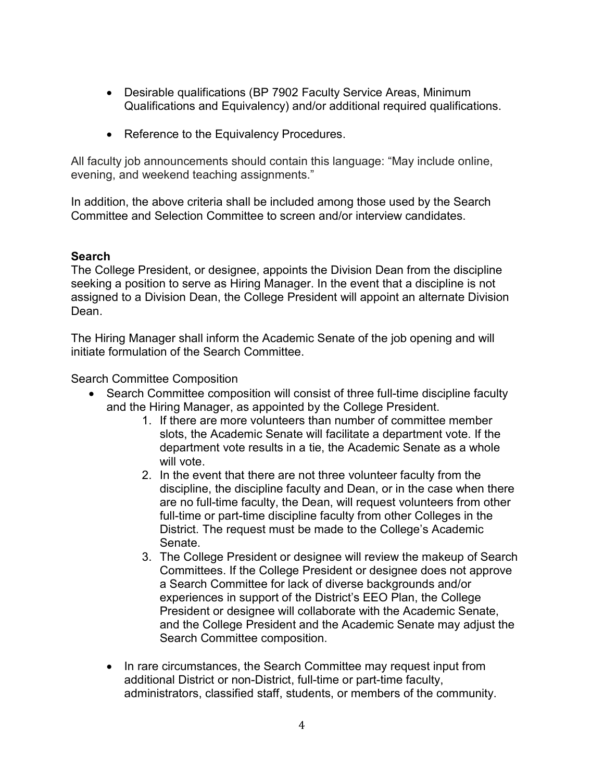- Desirable qualifications (BP 7902 Faculty Service Areas, Minimum Qualifications and Equivalency) and/or additional required qualifications.
- Reference to the Equivalency Procedures.

All faculty job announcements should contain this language: "May include online, evening, and weekend teaching assignments."

In addition, the above criteria shall be included among those used by the Search Committee and Selection Committee to screen and/or interview candidates.

### Search

The College President, or designee, appoints the Division Dean from the discipline seeking a position to serve as Hiring Manager. In the event that a discipline is not assigned to a Division Dean, the College President will appoint an alternate Division Dean.

The Hiring Manager shall inform the Academic Senate of the job opening and will initiate formulation of the Search Committee.

Search Committee Composition

- Search Committee composition will consist of three full-time discipline faculty and the Hiring Manager, as appointed by the College President.
	- 1. If there are more volunteers than number of committee member slots, the Academic Senate will facilitate a department vote. If the department vote results in a tie, the Academic Senate as a whole will vote.
	- 2. In the event that there are not three volunteer faculty from the discipline, the discipline faculty and Dean, or in the case when there are no full-time faculty, the Dean, will request volunteers from other full-time or part-time discipline faculty from other Colleges in the District. The request must be made to the College's Academic Senate.
	- 3. The College President or designee will review the makeup of Search Committees. If the College President or designee does not approve a Search Committee for lack of diverse backgrounds and/or experiences in support of the District's EEO Plan, the College President or designee will collaborate with the Academic Senate, and the College President and the Academic Senate may adjust the Search Committee composition.
	- In rare circumstances, the Search Committee may request input from additional District or non-District, full-time or part-time faculty, administrators, classified staff, students, or members of the community.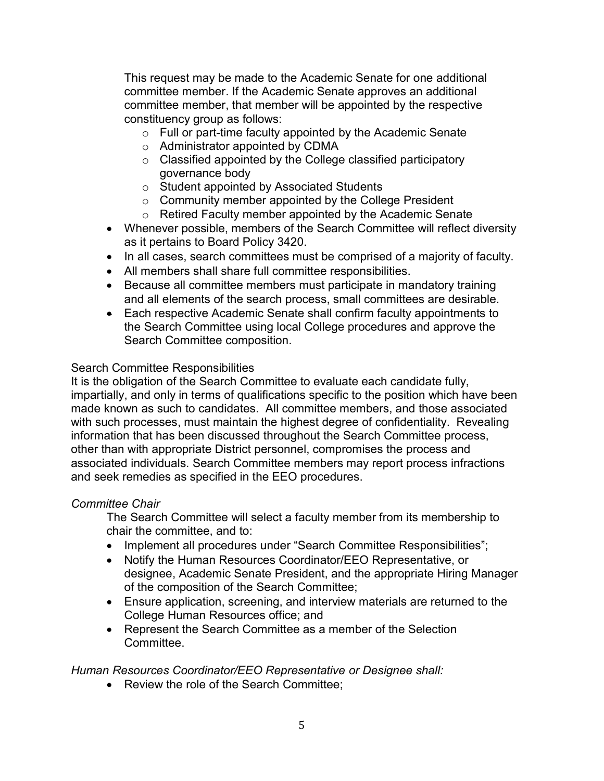This request may be made to the Academic Senate for one additional committee member. If the Academic Senate approves an additional committee member, that member will be appointed by the respective constituency group as follows:

- o Full or part-time faculty appointed by the Academic Senate
- o Administrator appointed by CDMA
- o Classified appointed by the College classified participatory governance body
- o Student appointed by Associated Students
- $\circ$  Community member appointed by the College President
- o Retired Faculty member appointed by the Academic Senate
- Whenever possible, members of the Search Committee will reflect diversity as it pertains to Board Policy 3420.
- In all cases, search committees must be comprised of a majority of faculty.
- All members shall share full committee responsibilities.
- Because all committee members must participate in mandatory training and all elements of the search process, small committees are desirable.
- Each respective Academic Senate shall confirm faculty appointments to the Search Committee using local College procedures and approve the Search Committee composition.

#### Search Committee Responsibilities

It is the obligation of the Search Committee to evaluate each candidate fully, impartially, and only in terms of qualifications specific to the position which have been made known as such to candidates. All committee members, and those associated with such processes, must maintain the highest degree of confidentiality. Revealing information that has been discussed throughout the Search Committee process, other than with appropriate District personnel, compromises the process and associated individuals. Search Committee members may report process infractions and seek remedies as specified in the EEO procedures.

#### Committee Chair

The Search Committee will select a faculty member from its membership to chair the committee, and to:

- Implement all procedures under "Search Committee Responsibilities";
- Notify the Human Resources Coordinator/EEO Representative, or designee, Academic Senate President, and the appropriate Hiring Manager of the composition of the Search Committee;
- Ensure application, screening, and interview materials are returned to the College Human Resources office; and
- Represent the Search Committee as a member of the Selection Committee.

#### Human Resources Coordinator/EEO Representative or Designee shall:

• Review the role of the Search Committee: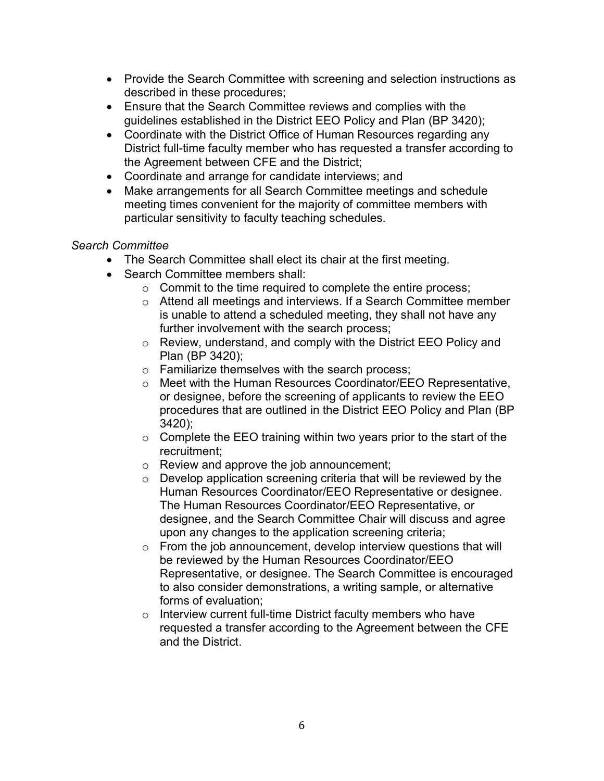- Provide the Search Committee with screening and selection instructions as described in these procedures;
- Ensure that the Search Committee reviews and complies with the guidelines established in the District EEO Policy and Plan (BP 3420);
- Coordinate with the District Office of Human Resources regarding any District full-time faculty member who has requested a transfer according to the Agreement between CFE and the District;
- Coordinate and arrange for candidate interviews; and
- Make arrangements for all Search Committee meetings and schedule meeting times convenient for the majority of committee members with particular sensitivity to faculty teaching schedules.

### Search Committee

- The Search Committee shall elect its chair at the first meeting.
- Search Committee members shall:
	- o Commit to the time required to complete the entire process;
	- o Attend all meetings and interviews. If a Search Committee member is unable to attend a scheduled meeting, they shall not have any further involvement with the search process;
	- o Review, understand, and comply with the District EEO Policy and Plan (BP 3420);
	- o Familiarize themselves with the search process;
	- o Meet with the Human Resources Coordinator/EEO Representative, or designee, before the screening of applicants to review the EEO procedures that are outlined in the District EEO Policy and Plan (BP 3420);
	- $\circ$  Complete the EEO training within two years prior to the start of the recruitment;
	- o Review and approve the job announcement;
	- o Develop application screening criteria that will be reviewed by the Human Resources Coordinator/EEO Representative or designee. The Human Resources Coordinator/EEO Representative, or designee, and the Search Committee Chair will discuss and agree upon any changes to the application screening criteria;
	- $\circ$  From the job announcement, develop interview questions that will be reviewed by the Human Resources Coordinator/EEO Representative, or designee. The Search Committee is encouraged to also consider demonstrations, a writing sample, or alternative forms of evaluation;
	- o Interview current full-time District faculty members who have requested a transfer according to the Agreement between the CFE and the District.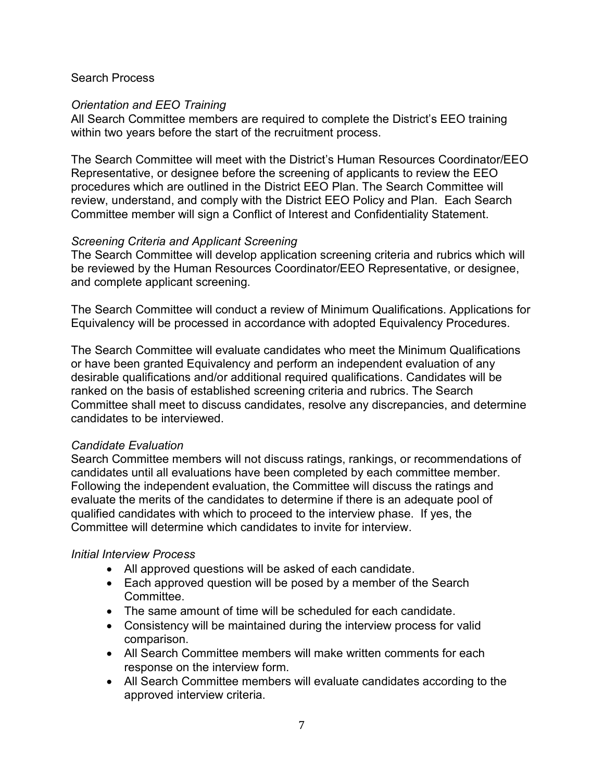#### Search Process

#### Orientation and EEO Training

All Search Committee members are required to complete the District's EEO training within two years before the start of the recruitment process.

The Search Committee will meet with the District's Human Resources Coordinator/EEO Representative, or designee before the screening of applicants to review the EEO procedures which are outlined in the District EEO Plan. The Search Committee will review, understand, and comply with the District EEO Policy and Plan. Each Search Committee member will sign a Conflict of Interest and Confidentiality Statement.

#### Screening Criteria and Applicant Screening

The Search Committee will develop application screening criteria and rubrics which will be reviewed by the Human Resources Coordinator/EEO Representative, or designee, and complete applicant screening.

The Search Committee will conduct a review of Minimum Qualifications. Applications for Equivalency will be processed in accordance with adopted Equivalency Procedures.

The Search Committee will evaluate candidates who meet the Minimum Qualifications or have been granted Equivalency and perform an independent evaluation of any desirable qualifications and/or additional required qualifications. Candidates will be ranked on the basis of established screening criteria and rubrics. The Search Committee shall meet to discuss candidates, resolve any discrepancies, and determine candidates to be interviewed.

#### Candidate Evaluation

Search Committee members will not discuss ratings, rankings, or recommendations of candidates until all evaluations have been completed by each committee member. Following the independent evaluation, the Committee will discuss the ratings and evaluate the merits of the candidates to determine if there is an adequate pool of qualified candidates with which to proceed to the interview phase. If yes, the Committee will determine which candidates to invite for interview.

#### Initial Interview Process

- All approved questions will be asked of each candidate.
- Each approved question will be posed by a member of the Search **Committee**
- The same amount of time will be scheduled for each candidate.
- Consistency will be maintained during the interview process for valid comparison.
- All Search Committee members will make written comments for each response on the interview form.
- All Search Committee members will evaluate candidates according to the approved interview criteria.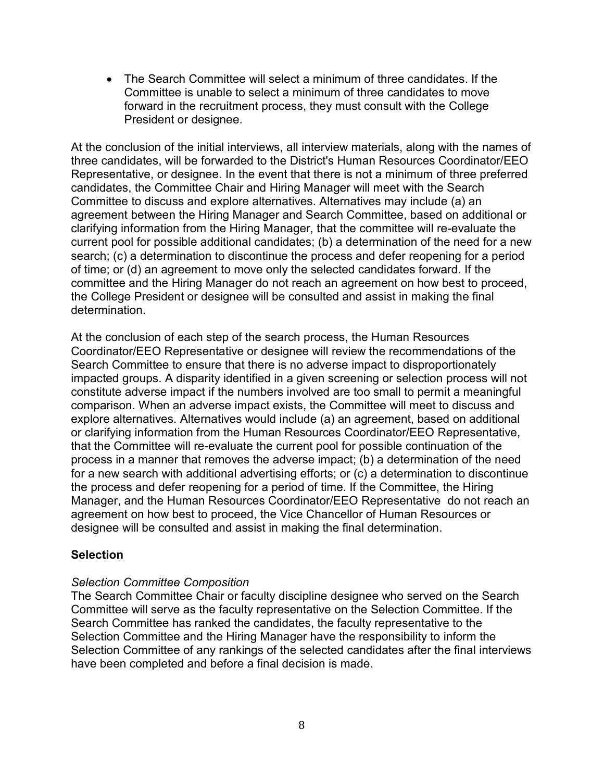The Search Committee will select a minimum of three candidates. If the Committee is unable to select a minimum of three candidates to move forward in the recruitment process, they must consult with the College President or designee.

At the conclusion of the initial interviews, all interview materials, along with the names of three candidates, will be forwarded to the District's Human Resources Coordinator/EEO Representative, or designee. In the event that there is not a minimum of three preferred candidates, the Committee Chair and Hiring Manager will meet with the Search Committee to discuss and explore alternatives. Alternatives may include (a) an agreement between the Hiring Manager and Search Committee, based on additional or clarifying information from the Hiring Manager, that the committee will re-evaluate the current pool for possible additional candidates; (b) a determination of the need for a new search; (c) a determination to discontinue the process and defer reopening for a period of time; or (d) an agreement to move only the selected candidates forward. If the committee and the Hiring Manager do not reach an agreement on how best to proceed, the College President or designee will be consulted and assist in making the final determination.

At the conclusion of each step of the search process, the Human Resources Coordinator/EEO Representative or designee will review the recommendations of the Search Committee to ensure that there is no adverse impact to disproportionately impacted groups. A disparity identified in a given screening or selection process will not constitute adverse impact if the numbers involved are too small to permit a meaningful comparison. When an adverse impact exists, the Committee will meet to discuss and explore alternatives. Alternatives would include (a) an agreement, based on additional or clarifying information from the Human Resources Coordinator/EEO Representative, that the Committee will re-evaluate the current pool for possible continuation of the process in a manner that removes the adverse impact; (b) a determination of the need for a new search with additional advertising efforts; or (c) a determination to discontinue the process and defer reopening for a period of time. If the Committee, the Hiring Manager, and the Human Resources Coordinator/EEO Representative do not reach an agreement on how best to proceed, the Vice Chancellor of Human Resources or designee will be consulted and assist in making the final determination.

#### **Selection**

#### Selection Committee Composition

The Search Committee Chair or faculty discipline designee who served on the Search Committee will serve as the faculty representative on the Selection Committee. If the Search Committee has ranked the candidates, the faculty representative to the Selection Committee and the Hiring Manager have the responsibility to inform the Selection Committee of any rankings of the selected candidates after the final interviews have been completed and before a final decision is made.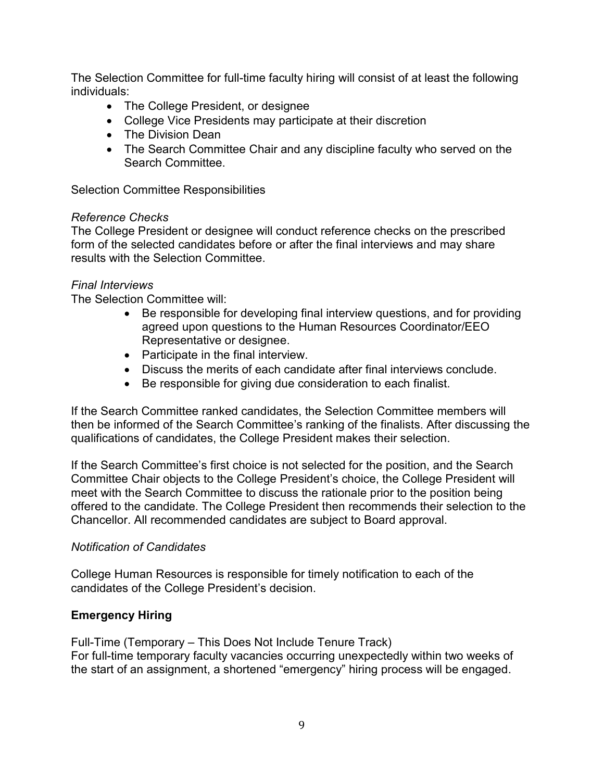The Selection Committee for full-time faculty hiring will consist of at least the following individuals:

- The College President, or designee
- College Vice Presidents may participate at their discretion
- The Division Dean
- The Search Committee Chair and any discipline faculty who served on the Search Committee.

Selection Committee Responsibilities

#### Reference Checks

The College President or designee will conduct reference checks on the prescribed form of the selected candidates before or after the final interviews and may share results with the Selection Committee.

#### Final Interviews

The Selection Committee will:

- Be responsible for developing final interview questions, and for providing agreed upon questions to the Human Resources Coordinator/EEO Representative or designee.
- Participate in the final interview.
- Discuss the merits of each candidate after final interviews conclude.
- Be responsible for giving due consideration to each finalist.

If the Search Committee ranked candidates, the Selection Committee members will then be informed of the Search Committee's ranking of the finalists. After discussing the qualifications of candidates, the College President makes their selection.

If the Search Committee's first choice is not selected for the position, and the Search Committee Chair objects to the College President's choice, the College President will meet with the Search Committee to discuss the rationale prior to the position being offered to the candidate. The College President then recommends their selection to the Chancellor. All recommended candidates are subject to Board approval.

#### Notification of Candidates

College Human Resources is responsible for timely notification to each of the candidates of the College President's decision.

### Emergency Hiring

Full-Time (Temporary – This Does Not Include Tenure Track) For full-time temporary faculty vacancies occurring unexpectedly within two weeks of the start of an assignment, a shortened "emergency" hiring process will be engaged.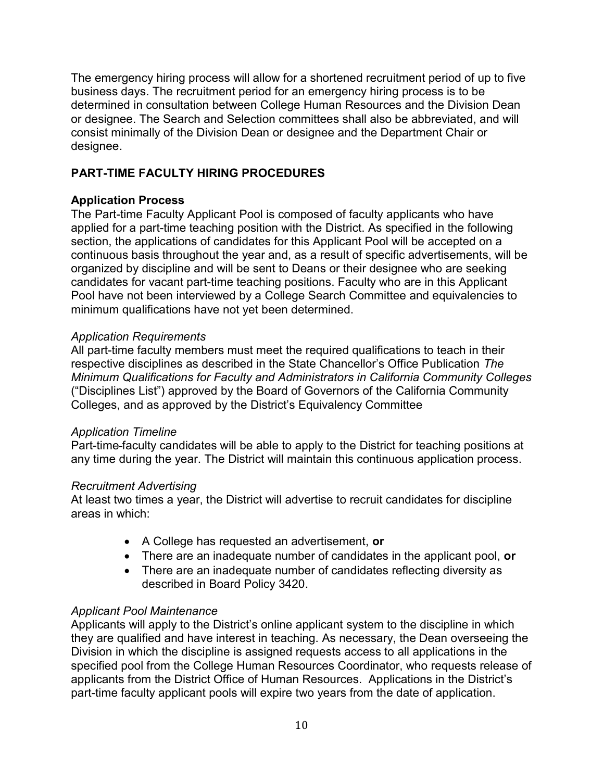The emergency hiring process will allow for a shortened recruitment period of up to five business days. The recruitment period for an emergency hiring process is to be determined in consultation between College Human Resources and the Division Dean or designee. The Search and Selection committees shall also be abbreviated, and will consist minimally of the Division Dean or designee and the Department Chair or designee.

## PART-TIME FACULTY HIRING PROCEDURES

### Application Process

The Part-time Faculty Applicant Pool is composed of faculty applicants who have applied for a part-time teaching position with the District. As specified in the following section, the applications of candidates for this Applicant Pool will be accepted on a continuous basis throughout the year and, as a result of specific advertisements, will be organized by discipline and will be sent to Deans or their designee who are seeking candidates for vacant part-time teaching positions. Faculty who are in this Applicant Pool have not been interviewed by a College Search Committee and equivalencies to minimum qualifications have not yet been determined.

### Application Requirements

All part-time faculty members must meet the required qualifications to teach in their respective disciplines as described in the State Chancellor's Office Publication The Minimum Qualifications for Faculty and Administrators in California Community Colleges ("Disciplines List") approved by the Board of Governors of the California Community Colleges, and as approved by the District's Equivalency Committee

#### Application Timeline

Part-time faculty candidates will be able to apply to the District for teaching positions at any time during the year. The District will maintain this continuous application process.

#### Recruitment Advertising

At least two times a year, the District will advertise to recruit candidates for discipline areas in which:

- A College has requested an advertisement, or
- There are an inadequate number of candidates in the applicant pool, or
- There are an inadequate number of candidates reflecting diversity as described in Board Policy 3420.

### Applicant Pool Maintenance

Applicants will apply to the District's online applicant system to the discipline in which they are qualified and have interest in teaching. As necessary, the Dean overseeing the Division in which the discipline is assigned requests access to all applications in the specified pool from the College Human Resources Coordinator, who requests release of applicants from the District Office of Human Resources. Applications in the District's part-time faculty applicant pools will expire two years from the date of application.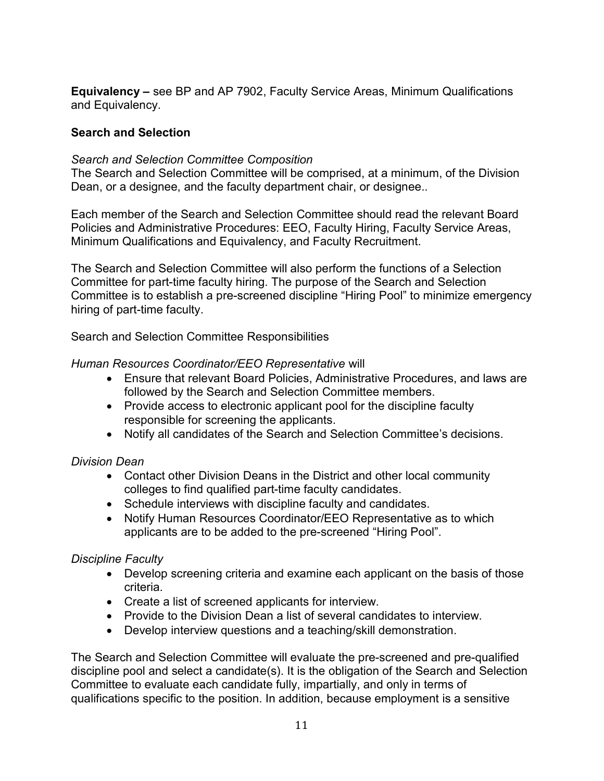Equivalency – see BP and AP 7902, Faculty Service Areas, Minimum Qualifications and Equivalency.

### Search and Selection

### Search and Selection Committee Composition

The Search and Selection Committee will be comprised, at a minimum, of the Division Dean, or a designee, and the faculty department chair, or designee..

Each member of the Search and Selection Committee should read the relevant Board Policies and Administrative Procedures: EEO, Faculty Hiring, Faculty Service Areas, Minimum Qualifications and Equivalency, and Faculty Recruitment.

The Search and Selection Committee will also perform the functions of a Selection Committee for part-time faculty hiring. The purpose of the Search and Selection Committee is to establish a pre-screened discipline "Hiring Pool" to minimize emergency hiring of part-time faculty.

Search and Selection Committee Responsibilities

### Human Resources Coordinator/EEO Representative will

- Ensure that relevant Board Policies, Administrative Procedures, and laws are followed by the Search and Selection Committee members.
- Provide access to electronic applicant pool for the discipline faculty responsible for screening the applicants.
- Notify all candidates of the Search and Selection Committee's decisions.

### Division Dean

- Contact other Division Deans in the District and other local community colleges to find qualified part-time faculty candidates.
- Schedule interviews with discipline faculty and candidates.
- Notify Human Resources Coordinator/EEO Representative as to which applicants are to be added to the pre-screened "Hiring Pool".

### Discipline Faculty

- Develop screening criteria and examine each applicant on the basis of those criteria.
- Create a list of screened applicants for interview.
- Provide to the Division Dean a list of several candidates to interview.
- Develop interview questions and a teaching/skill demonstration.

The Search and Selection Committee will evaluate the pre-screened and pre-qualified discipline pool and select a candidate(s). It is the obligation of the Search and Selection Committee to evaluate each candidate fully, impartially, and only in terms of qualifications specific to the position. In addition, because employment is a sensitive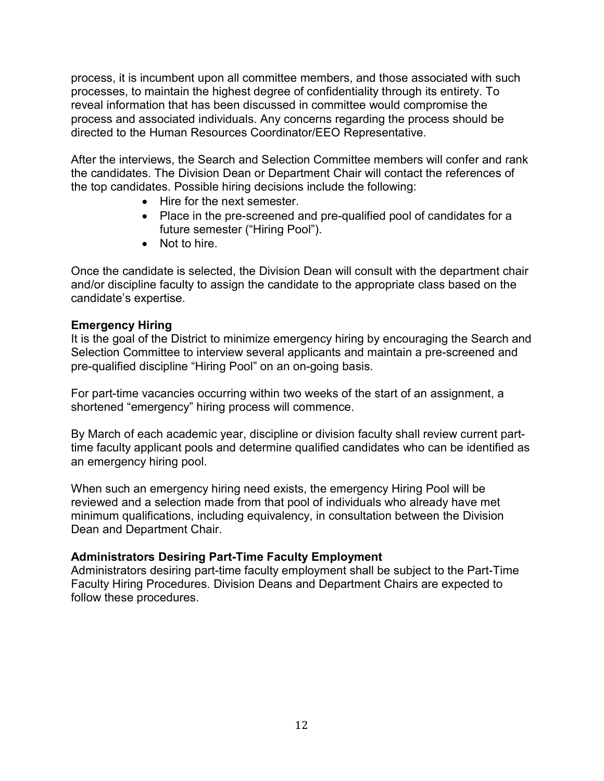process, it is incumbent upon all committee members, and those associated with such processes, to maintain the highest degree of confidentiality through its entirety. To reveal information that has been discussed in committee would compromise the process and associated individuals. Any concerns regarding the process should be directed to the Human Resources Coordinator/EEO Representative.

After the interviews, the Search and Selection Committee members will confer and rank the candidates. The Division Dean or Department Chair will contact the references of the top candidates. Possible hiring decisions include the following:

- Hire for the next semester.
- Place in the pre-screened and pre-qualified pool of candidates for a future semester ("Hiring Pool").
- Not to hire.

Once the candidate is selected, the Division Dean will consult with the department chair and/or discipline faculty to assign the candidate to the appropriate class based on the candidate's expertise.

### Emergency Hiring

It is the goal of the District to minimize emergency hiring by encouraging the Search and Selection Committee to interview several applicants and maintain a pre-screened and pre-qualified discipline "Hiring Pool" on an on-going basis.

For part-time vacancies occurring within two weeks of the start of an assignment, a shortened "emergency" hiring process will commence.

By March of each academic year, discipline or division faculty shall review current parttime faculty applicant pools and determine qualified candidates who can be identified as an emergency hiring pool.

When such an emergency hiring need exists, the emergency Hiring Pool will be reviewed and a selection made from that pool of individuals who already have met minimum qualifications, including equivalency, in consultation between the Division Dean and Department Chair.

#### Administrators Desiring Part-Time Faculty Employment

Administrators desiring part-time faculty employment shall be subject to the Part-Time Faculty Hiring Procedures. Division Deans and Department Chairs are expected to follow these procedures.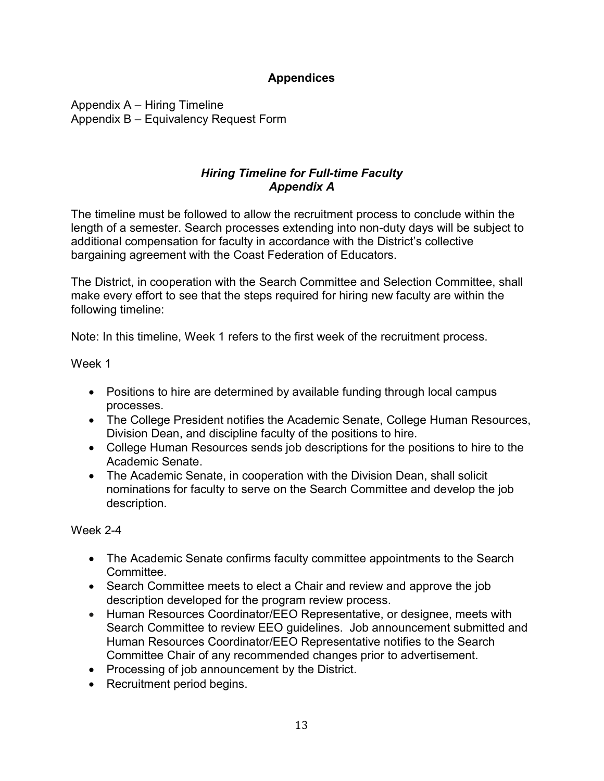## Appendices

Appendix A – Hiring Timeline Appendix B – Equivalency Request Form

## Hiring Timeline for Full-time Faculty Appendix A

The timeline must be followed to allow the recruitment process to conclude within the length of a semester. Search processes extending into non-duty days will be subject to additional compensation for faculty in accordance with the District's collective bargaining agreement with the Coast Federation of Educators.

The District, in cooperation with the Search Committee and Selection Committee, shall make every effort to see that the steps required for hiring new faculty are within the following timeline:

Note: In this timeline, Week 1 refers to the first week of the recruitment process.

Week 1

- Positions to hire are determined by available funding through local campus processes.
- The College President notifies the Academic Senate, College Human Resources, Division Dean, and discipline faculty of the positions to hire.
- College Human Resources sends job descriptions for the positions to hire to the Academic Senate.
- The Academic Senate, in cooperation with the Division Dean, shall solicit nominations for faculty to serve on the Search Committee and develop the job description.

Week 2-4

- The Academic Senate confirms faculty committee appointments to the Search Committee.
- Search Committee meets to elect a Chair and review and approve the job description developed for the program review process.
- Human Resources Coordinator/EEO Representative, or designee, meets with Search Committee to review EEO guidelines. Job announcement submitted and Human Resources Coordinator/EEO Representative notifies to the Search Committee Chair of any recommended changes prior to advertisement.
- Processing of job announcement by the District.
- Recruitment period begins.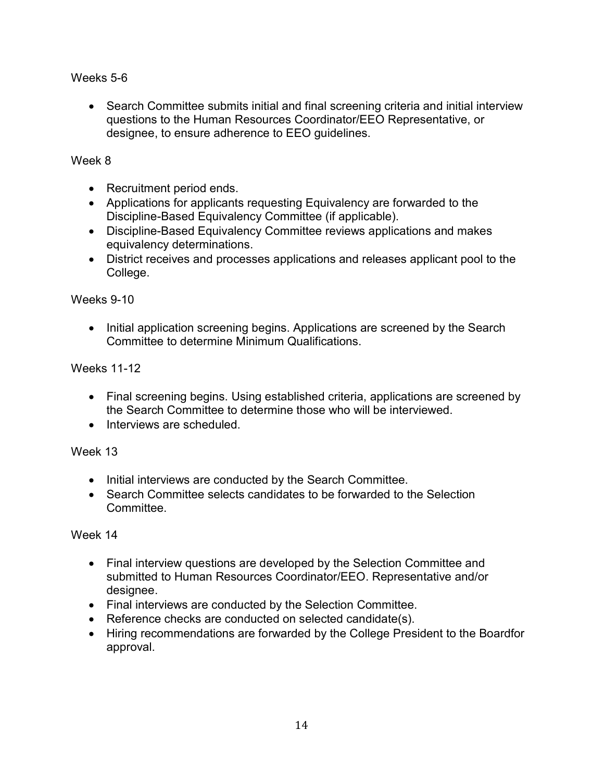### Weeks 5-6

 Search Committee submits initial and final screening criteria and initial interview questions to the Human Resources Coordinator/EEO Representative, or designee, to ensure adherence to EEO guidelines.

### Week 8

- Recruitment period ends.
- Applications for applicants requesting Equivalency are forwarded to the Discipline-Based Equivalency Committee (if applicable).
- Discipline-Based Equivalency Committee reviews applications and makes equivalency determinations.
- District receives and processes applications and releases applicant pool to the College.

### Weeks 9-10

• Initial application screening begins. Applications are screened by the Search Committee to determine Minimum Qualifications.

### Weeks 11-12

- Final screening begins. Using established criteria, applications are screened by the Search Committee to determine those who will be interviewed.
- Interviews are scheduled.

### Week 13

- Initial interviews are conducted by the Search Committee.
- Search Committee selects candidates to be forwarded to the Selection **Committee.**

#### Week 14

- Final interview questions are developed by the Selection Committee and submitted to Human Resources Coordinator/EEO. Representative and/or designee.
- Final interviews are conducted by the Selection Committee.
- Reference checks are conducted on selected candidate(s).
- Hiring recommendations are forwarded by the College President to the Boardfor approval.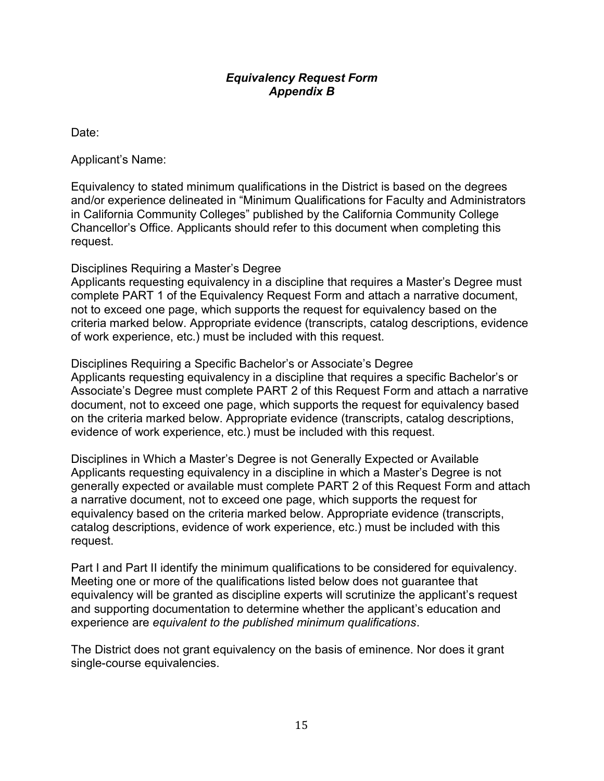#### Equivalency Request Form Appendix B

Date:

Applicant's Name:

Equivalency to stated minimum qualifications in the District is based on the degrees and/or experience delineated in "Minimum Qualifications for Faculty and Administrators in California Community Colleges" published by the California Community College Chancellor's Office. Applicants should refer to this document when completing this request.

Disciplines Requiring a Master's Degree

Applicants requesting equivalency in a discipline that requires a Master's Degree must complete PART 1 of the Equivalency Request Form and attach a narrative document, not to exceed one page, which supports the request for equivalency based on the criteria marked below. Appropriate evidence (transcripts, catalog descriptions, evidence of work experience, etc.) must be included with this request.

Disciplines Requiring a Specific Bachelor's or Associate's Degree Applicants requesting equivalency in a discipline that requires a specific Bachelor's or Associate's Degree must complete PART 2 of this Request Form and attach a narrative document, not to exceed one page, which supports the request for equivalency based on the criteria marked below. Appropriate evidence (transcripts, catalog descriptions, evidence of work experience, etc.) must be included with this request.

Disciplines in Which a Master's Degree is not Generally Expected or Available Applicants requesting equivalency in a discipline in which a Master's Degree is not generally expected or available must complete PART 2 of this Request Form and attach a narrative document, not to exceed one page, which supports the request for equivalency based on the criteria marked below. Appropriate evidence (transcripts, catalog descriptions, evidence of work experience, etc.) must be included with this request.

Part I and Part II identify the minimum qualifications to be considered for equivalency. Meeting one or more of the qualifications listed below does not guarantee that equivalency will be granted as discipline experts will scrutinize the applicant's request and supporting documentation to determine whether the applicant's education and experience are equivalent to the published minimum qualifications.

The District does not grant equivalency on the basis of eminence. Nor does it grant single-course equivalencies.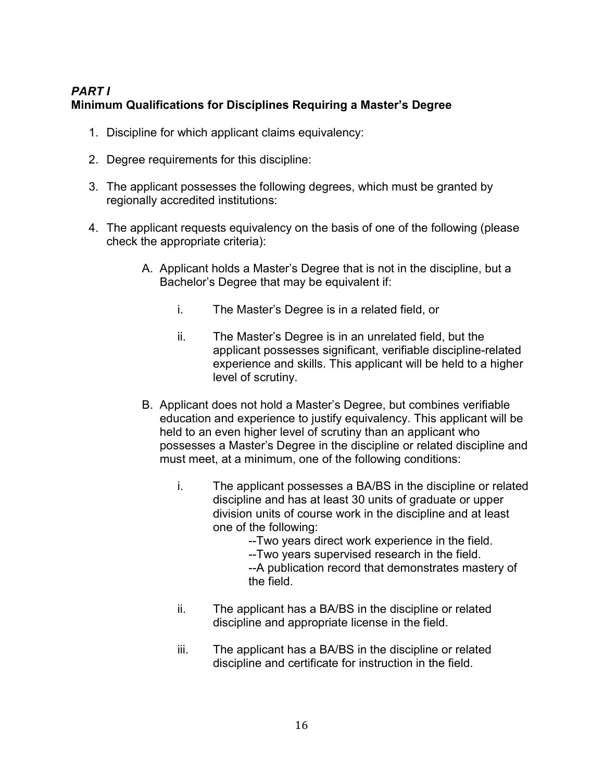# PART I Minimum Qualifications for Disciplines Requiring a Master's Degree

- 1. Discipline for which applicant claims equivalency:
- 2. Degree requirements for this discipline:
- 3. The applicant possesses the following degrees, which must be granted by regionally accredited institutions:
- 4. The applicant requests equivalency on the basis of one of the following (please check the appropriate criteria):
	- A. Applicant holds a Master's Degree that is not in the discipline, but a Bachelor's Degree that may be equivalent if:
		- i. The Master's Degree is in a related field, or
		- ii. The Master's Degree is in an unrelated field, but the applicant possesses significant, verifiable discipline-related experience and skills. This applicant will be held to a higher level of scrutiny.
	- B. Applicant does not hold a Master's Degree, but combines verifiable education and experience to justify equivalency. This applicant will be held to an even higher level of scrutiny than an applicant who possesses a Master's Degree in the discipline or related discipline and must meet, at a minimum, one of the following conditions:
		- i. The applicant possesses a BA/BS in the discipline or related discipline and has at least 30 units of graduate or upper division units of course work in the discipline and at least one of the following:
			- --Two years direct work experience in the field.
			- --Two years supervised research in the field.
			- --A publication record that demonstrates mastery of the field.
		- ii. The applicant has a BA/BS in the discipline or related discipline and appropriate license in the field.
		- iii. The applicant has a BA/BS in the discipline or related discipline and certificate for instruction in the field.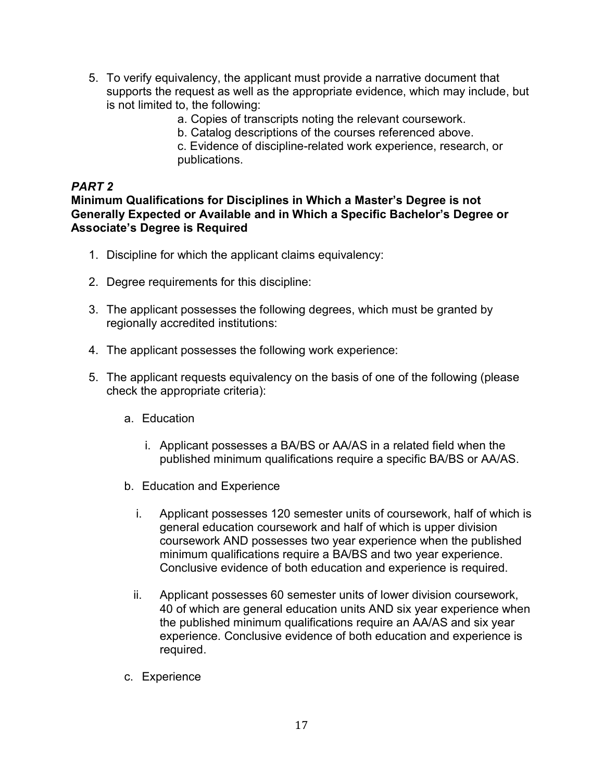- 5. To verify equivalency, the applicant must provide a narrative document that supports the request as well as the appropriate evidence, which may include, but is not limited to, the following:
	- a. Copies of transcripts noting the relevant coursework.
	- b. Catalog descriptions of the courses referenced above.

c. Evidence of discipline-related work experience, research, or publications.

### PART 2

Minimum Qualifications for Disciplines in Which a Master's Degree is not Generally Expected or Available and in Which a Specific Bachelor's Degree or Associate's Degree is Required

- 1. Discipline for which the applicant claims equivalency:
- 2. Degree requirements for this discipline:
- 3. The applicant possesses the following degrees, which must be granted by regionally accredited institutions:
- 4. The applicant possesses the following work experience:
- 5. The applicant requests equivalency on the basis of one of the following (please check the appropriate criteria):
	- a. Education
		- i. Applicant possesses a BA/BS or AA/AS in a related field when the published minimum qualifications require a specific BA/BS or AA/AS.
	- b. Education and Experience
		- i. Applicant possesses 120 semester units of coursework, half of which is general education coursework and half of which is upper division coursework AND possesses two year experience when the published minimum qualifications require a BA/BS and two year experience. Conclusive evidence of both education and experience is required.
		- ii. Applicant possesses 60 semester units of lower division coursework, 40 of which are general education units AND six year experience when the published minimum qualifications require an AA/AS and six year experience. Conclusive evidence of both education and experience is required.
	- c. Experience